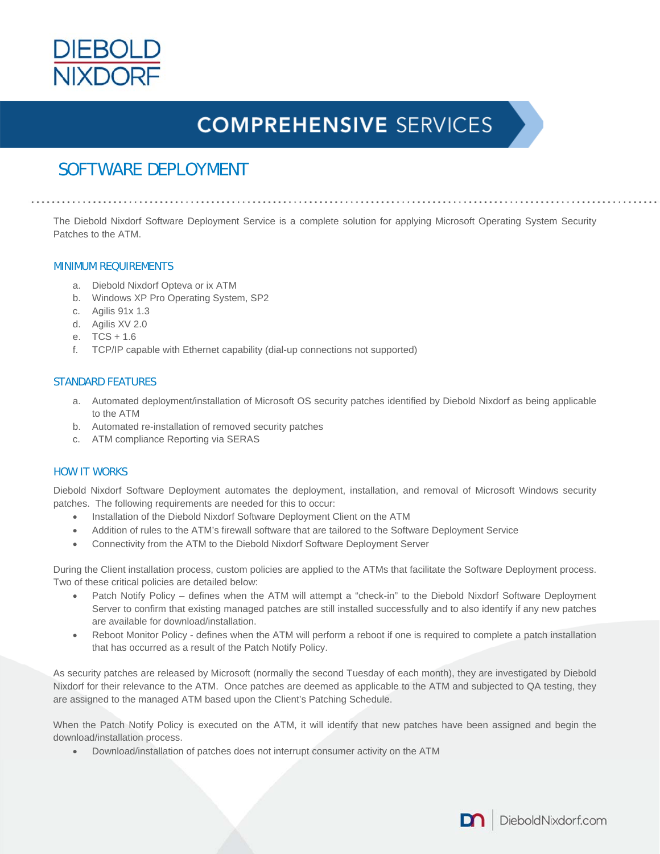

# **COMPREHENSIVE SERVICES**

# SOFTWARE DEPLOYMENT

The Diebold Nixdorf Software Deployment Service is a complete solution for applying Microsoft Operating System Security Patches to the ATM.

### MINIMUM REQUIREMENTS

- a. Diebold Nixdorf Opteva or ix ATM
- b. Windows XP Pro Operating System, SP2
- c. Agilis 91x 1.3
- d. Agilis XV 2.0
- e. TCS + 1.6
- f. TCP/IP capable with Ethernet capability (dial-up connections not supported)

## STANDARD FEATURES

- a. Automated deployment/installation of Microsoft OS security patches identified by Diebold Nixdorf as being applicable to the ATM
- b. Automated re-installation of removed security patches
- c. ATM compliance Reporting via SERAS

### HOW IT WORKS

Diebold Nixdorf Software Deployment automates the deployment, installation, and removal of Microsoft Windows security patches. The following requirements are needed for this to occur:

- Installation of the Diebold Nixdorf Software Deployment Client on the ATM
- Addition of rules to the ATM's firewall software that are tailored to the Software Deployment Service
- Connectivity from the ATM to the Diebold Nixdorf Software Deployment Server

During the Client installation process, custom policies are applied to the ATMs that facilitate the Software Deployment process. Two of these critical policies are detailed below:

- Patch Notify Policy defines when the ATM will attempt a "check-in" to the Diebold Nixdorf Software Deployment Server to confirm that existing managed patches are still installed successfully and to also identify if any new patches are available for download/installation.
- Reboot Monitor Policy defines when the ATM will perform a reboot if one is required to complete a patch installation that has occurred as a result of the Patch Notify Policy.

As security patches are released by Microsoft (normally the second Tuesday of each month), they are investigated by Diebold Nixdorf for their relevance to the ATM. Once patches are deemed as applicable to the ATM and subjected to QA testing, they are assigned to the managed ATM based upon the Client's Patching Schedule.

When the Patch Notify Policy is executed on the ATM, it will identify that new patches have been assigned and begin the download/installation process.

Download/installation of patches does not interrupt consumer activity on the ATM

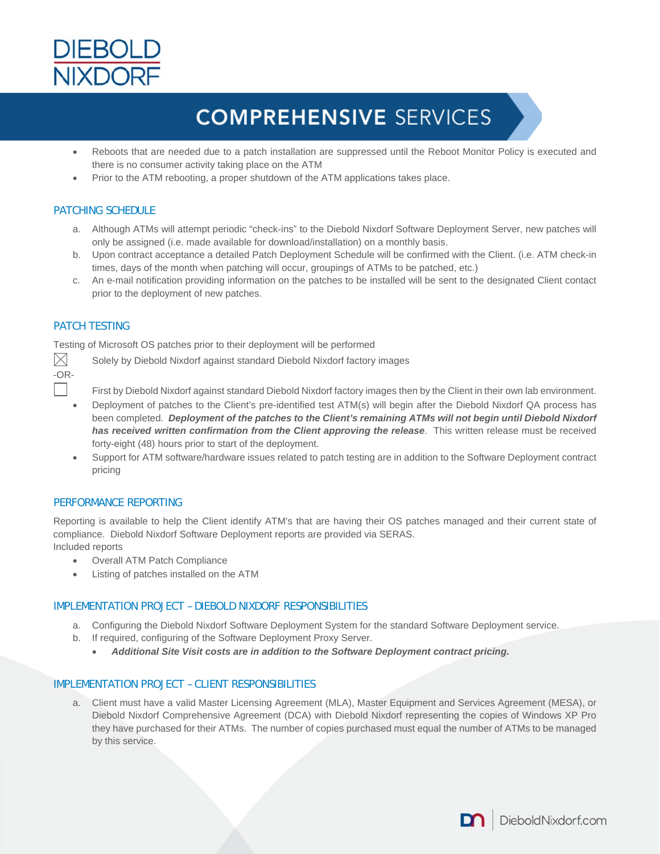

# **COMPREHENSIVE SERVICES**

- Reboots that are needed due to a patch installation are suppressed until the Reboot Monitor Policy is executed and there is no consumer activity taking place on the ATM
- Prior to the ATM rebooting, a proper shutdown of the ATM applications takes place.

# PATCHING SCHEDULE

- a. Although ATMs will attempt periodic "check-ins" to the Diebold Nixdorf Software Deployment Server, new patches will only be assigned (i.e. made available for download/installation) on a monthly basis.
- b. Upon contract acceptance a detailed Patch Deployment Schedule will be confirmed with the Client. (i.e. ATM check-in times, days of the month when patching will occur, groupings of ATMs to be patched, etc.)
- c. An e-mail notification providing information on the patches to be installed will be sent to the designated Client contact prior to the deployment of new patches.

# PATCH TESTING

Testing of Microsoft OS patches prior to their deployment will be performed

-OR-

 $\times$  Solely by Diebold Nixdorf against standard Diebold Nixdorf factory images

- First by Diebold Nixdorf against standard Diebold Nixdorf factory images then by the Client in their own lab environment.
- Deployment of patches to the Client's pre-identified test ATM(s) will begin after the Diebold Nixdorf QA process has been completed. *Deployment of the patches to the Client's remaining ATMs will not begin until Diebold Nixdorf has received written confirmation from the Client approving the release*. This written release must be received forty-eight (48) hours prior to start of the deployment.
- Support for ATM software/hardware issues related to patch testing are in addition to the Software Deployment contract pricing

### PERFORMANCE REPORTING

Reporting is available to help the Client identify ATM's that are having their OS patches managed and their current state of compliance. Diebold Nixdorf Software Deployment reports are provided via SERAS. Included reports

- Overall ATM Patch Compliance
- Listing of patches installed on the ATM

### IMPLEMENTATION PROJECT – DIEBOLD NIXDORF RESPONSIBILITIES

- a. Configuring the Diebold Nixdorf Software Deployment System for the standard Software Deployment service.
- b. If required, configuring of the Software Deployment Proxy Server.
	- *Additional Site Visit costs are in addition to the Software Deployment contract pricing.*

### IMPLEMENTATION PROJECT – CLIENT RESPONSIBILITIES

a. Client must have a valid Master Licensing Agreement (MLA), Master Equipment and Services Agreement (MESA), or Diebold Nixdorf Comprehensive Agreement (DCA) with Diebold Nixdorf representing the copies of Windows XP Pro they have purchased for their ATMs. The number of copies purchased must equal the number of ATMs to be managed by this service.